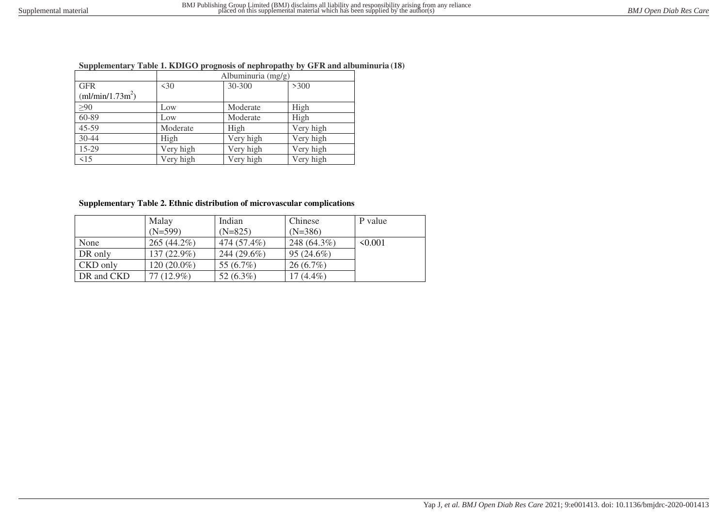## **Supplementary Table 1. KDIGO prognosis of nephropathy by GFR and albuminuria (18)**

|                    | Albuminuria (mg/g) |           |           |  |  |  |  |
|--------------------|--------------------|-----------|-----------|--|--|--|--|
| <b>GFR</b>         | $\leq 30$          | 30-300    | >300      |  |  |  |  |
| $(m1/min/1.73m^2)$ |                    |           |           |  |  |  |  |
| $\geq 90$          | Low                | Moderate  | High      |  |  |  |  |
| 60-89              | Low                | Moderate  | High      |  |  |  |  |
| $45 - 59$          | Moderate           | High      | Very high |  |  |  |  |
| 30-44              | High               | Very high | Very high |  |  |  |  |
| 15-29              | Very high          | Very high | Very high |  |  |  |  |
| $\leq 15$          | Very high          | Very high | Very high |  |  |  |  |

## **Supplementary Table 2. Ethnic distribution of microvascular complications**

|            | Malay<br>$(N=599)$ | Indian<br>$(N=825)$ | Chinese<br>$(N=386)$ | P value      |
|------------|--------------------|---------------------|----------------------|--------------|
| None       | $265(44.2\%)$      | 474 (57.4%)         | 248 (64.3%)          | $\leq 0.001$ |
| DR only    | $137(22.9\%)$      | 244 (29.6%)         | $95(24.6\%)$         |              |
| CKD only   | $120(20.0\%)$      | 55 $(6.7\%)$        | $26(6.7\%)$          |              |
| DR and CKD | $77(12.9\%)$       | 52 $(6.3\%)$        | $17(4.4\%)$          |              |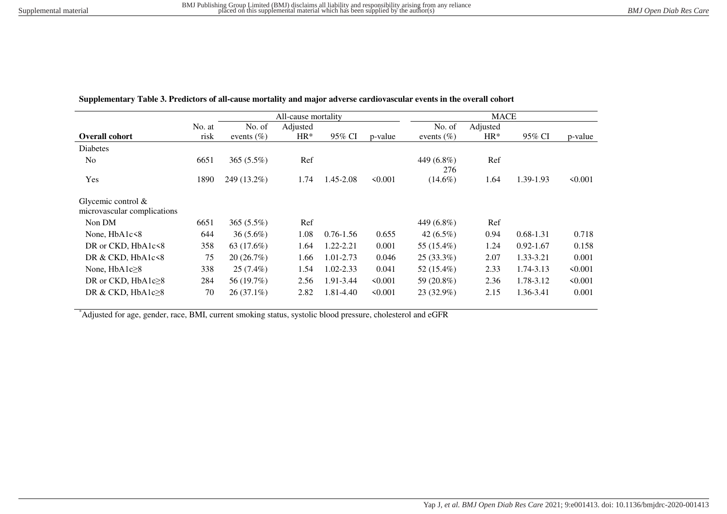|                                                      |        | All-cause mortality |          |               |              | <b>MACE</b>       |          |               |              |
|------------------------------------------------------|--------|---------------------|----------|---------------|--------------|-------------------|----------|---------------|--------------|
|                                                      | No. at | No. of              | Adjusted |               |              | No. of            | Adjusted |               |              |
| <b>Overall cohort</b>                                | risk   | events $(\% )$      | $HR*$    | 95% CI        | p-value      | events $(\% )$    | $HR*$    | 95% CI        | p-value      |
| <b>Diabetes</b>                                      |        |                     |          |               |              |                   |          |               |              |
| N <sub>0</sub>                                       | 6651   | 365 $(5.5\%)$       | Ref      |               |              | 449 (6.8%)<br>276 | Ref      |               |              |
| Yes                                                  | 1890   | 249 (13.2%)         | 1.74     | 1.45-2.08     | $\leq 0.001$ | $(14.6\%)$        | 1.64     | 1.39-1.93     | < 0.001      |
| Glycemic control $\&$<br>microvascular complications |        |                     |          |               |              |                   |          |               |              |
| Non DM                                               | 6651   | $365(5.5\%)$        | Ref      |               |              | 449 (6.8%)        | Ref      |               |              |
| None, HbA1c<8                                        | 644    | $36(5.6\%)$         | 1.08     | $0.76 - 1.56$ | 0.655        | $42(6.5\%)$       | 0.94     | $0.68 - 1.31$ | 0.718        |
| DR or CKD, HbA1c<8                                   | 358    | 63 (17.6%)          | 1.64     | 1.22-2.21     | 0.001        | 55 (15.4%)        | 1.24     | $0.92 - 1.67$ | 0.158        |
| DR & CKD, HbA1c<8                                    | 75     | 20(26.7%)           | 1.66     | 1.01-2.73     | 0.046        | $25(33.3\%)$      | 2.07     | 1.33-3.21     | 0.001        |
| None, $HbA1c28$                                      | 338    | $25(7.4\%)$         | 1.54     | $1.02 - 2.33$ | 0.041        | 52 (15.4%)        | 2.33     | 1.74-3.13     | < 0.001      |
| DR or CKD, $HbA1c28$                                 | 284    | 56 (19.7%)          | 2.56     | 1.91-3.44     | $\leq 0.001$ | 59 (20.8%)        | 2.36     | 1.78-3.12     | $\leq 0.001$ |
| DR & CKD, $HbA1c\geq8$                               | 70     | $26(37.1\%)$        | 2.82     | 1.81-4.40     | < 0.001      | 23 (32.9%)        | 2.15     | 1.36-3.41     | 0.001        |

**Supplementary Table 3. Predictors of all-cause mortality and major adverse cardiovascular events in the overall cohort** 

\*Adjusted for age, gender, race, BMI, current smoking status, systolic blood pressure, cholesterol and eGFR